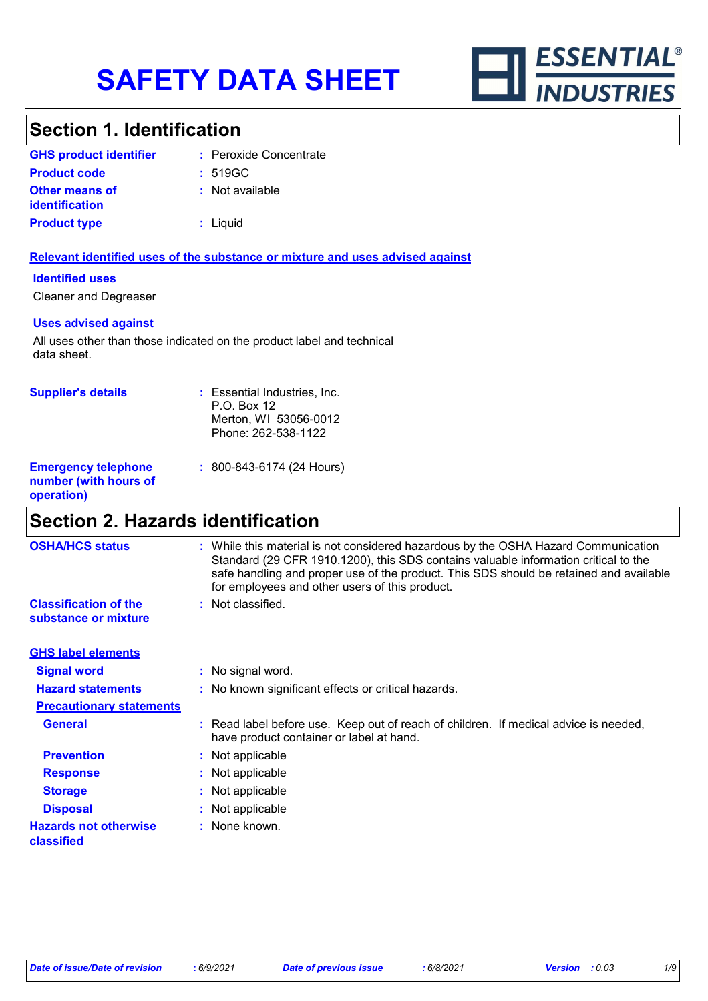

# **Section 1. Identification**

| <b>GHS product identifier</b>                  | : Peroxide Concentrate |
|------------------------------------------------|------------------------|
| <b>Product code</b>                            | : 519GC                |
| <b>Other means of</b><br><b>identification</b> | : Not available        |
| <b>Product type</b>                            | $:$ Liquid             |

#### **Relevant identified uses of the substance or mixture and uses advised against**

#### **Identified uses**

Cleaner and Degreaser

#### **Uses advised against**

All uses other than those indicated on the product label and technical data sheet.

| <b>Supplier's details</b>                                         | : Essential Industries, Inc.<br>P.O. Box 12<br>Merton, WI 53056-0012<br>Phone: 262-538-1122 |
|-------------------------------------------------------------------|---------------------------------------------------------------------------------------------|
| <b>Emergency telephone</b><br>number (with hours of<br>operation) | $: 800 - 843 - 6174$ (24 Hours)                                                             |

## **Section 2. Hazards identification**

| <b>OSHA/HCS status</b>                               | : While this material is not considered hazardous by the OSHA Hazard Communication<br>Standard (29 CFR 1910.1200), this SDS contains valuable information critical to the<br>safe handling and proper use of the product. This SDS should be retained and available<br>for employees and other users of this product. |                                                                                                                                  |
|------------------------------------------------------|-----------------------------------------------------------------------------------------------------------------------------------------------------------------------------------------------------------------------------------------------------------------------------------------------------------------------|----------------------------------------------------------------------------------------------------------------------------------|
| <b>Classification of the</b><br>substance or mixture |                                                                                                                                                                                                                                                                                                                       | : Not classified.                                                                                                                |
| <b>GHS label elements</b>                            |                                                                                                                                                                                                                                                                                                                       |                                                                                                                                  |
| <b>Signal word</b>                                   |                                                                                                                                                                                                                                                                                                                       | : No signal word.                                                                                                                |
| <b>Hazard statements</b>                             |                                                                                                                                                                                                                                                                                                                       | : No known significant effects or critical hazards.                                                                              |
| <b>Precautionary statements</b>                      |                                                                                                                                                                                                                                                                                                                       |                                                                                                                                  |
| <b>General</b>                                       |                                                                                                                                                                                                                                                                                                                       | : Read label before use. Keep out of reach of children. If medical advice is needed,<br>have product container or label at hand. |
| <b>Prevention</b>                                    |                                                                                                                                                                                                                                                                                                                       | : Not applicable                                                                                                                 |
| <b>Response</b>                                      |                                                                                                                                                                                                                                                                                                                       | : Not applicable                                                                                                                 |
| <b>Storage</b>                                       |                                                                                                                                                                                                                                                                                                                       | : Not applicable                                                                                                                 |
| <b>Disposal</b>                                      |                                                                                                                                                                                                                                                                                                                       | : Not applicable                                                                                                                 |
| <b>Hazards not otherwise</b><br>classified           |                                                                                                                                                                                                                                                                                                                       | : None known.                                                                                                                    |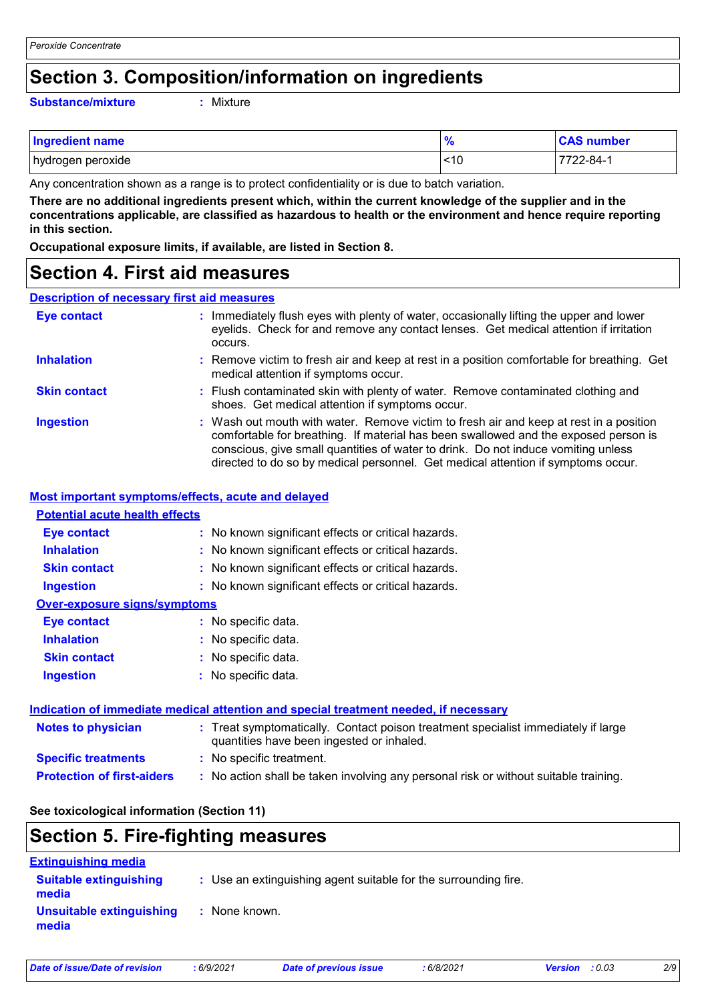## **Section 3. Composition/information on ingredients**

#### **Substance/mixture :**

: Mixture

| <b>Ingredient name</b> | $\frac{9}{6}$ | <b>CAS number</b> |
|------------------------|---------------|-------------------|
| hydrogen peroxide      | ~10           | $7722 - 84 - 1$   |

Any concentration shown as a range is to protect confidentiality or is due to batch variation.

**There are no additional ingredients present which, within the current knowledge of the supplier and in the concentrations applicable, are classified as hazardous to health or the environment and hence require reporting in this section.**

**Occupational exposure limits, if available, are listed in Section 8.**

### **Section 4. First aid measures**

#### **Description of necessary first aid measures**

| <b>Eye contact</b>  | : Immediately flush eyes with plenty of water, occasionally lifting the upper and lower<br>eyelids. Check for and remove any contact lenses. Get medical attention if irritation<br>occurs.                                                                                                                                                            |
|---------------------|--------------------------------------------------------------------------------------------------------------------------------------------------------------------------------------------------------------------------------------------------------------------------------------------------------------------------------------------------------|
| <b>Inhalation</b>   | : Remove victim to fresh air and keep at rest in a position comfortable for breathing. Get<br>medical attention if symptoms occur.                                                                                                                                                                                                                     |
| <b>Skin contact</b> | : Flush contaminated skin with plenty of water. Remove contaminated clothing and<br>shoes. Get medical attention if symptoms occur.                                                                                                                                                                                                                    |
| <b>Ingestion</b>    | : Wash out mouth with water. Remove victim to fresh air and keep at rest in a position<br>comfortable for breathing. If material has been swallowed and the exposed person is<br>conscious, give small quantities of water to drink. Do not induce vomiting unless<br>directed to do so by medical personnel. Get medical attention if symptoms occur. |

#### **Most important symptoms/effects, acute and delayed**

### **Inhalation <b>:** No known significant effects or critical hazards. **Ingestion :** No known significant effects or critical hazards. **Skin contact :** No known significant effects or critical hazards. **Eye contact :** No known significant effects or critical hazards. **Over-exposure signs/symptoms Skin contact Ingestion Inhalation :** No specific data. No specific data. **:** No specific data. **: Eye contact :** No specific data. **Potential acute health effects Indication of immediate medical attention and special treatment needed, if necessary**

### **Protection of first-aiders :** No action shall be taken involving any personal risk or without suitable training. **Notes to physician <b>:** Treat symptomatically. Contact poison treatment specialist immediately if large quantities have been ingested or inhaled. **Specific treatments :** No specific treatment.

#### **See toxicological information (Section 11)**

# **Section 5. Fire-fighting measures**

| <b>Extinguishing media</b>             |                                                                 |
|----------------------------------------|-----------------------------------------------------------------|
| <b>Suitable extinguishing</b><br>media | : Use an extinguishing agent suitable for the surrounding fire. |
| Unsuitable extinguishing<br>media      | : None known.                                                   |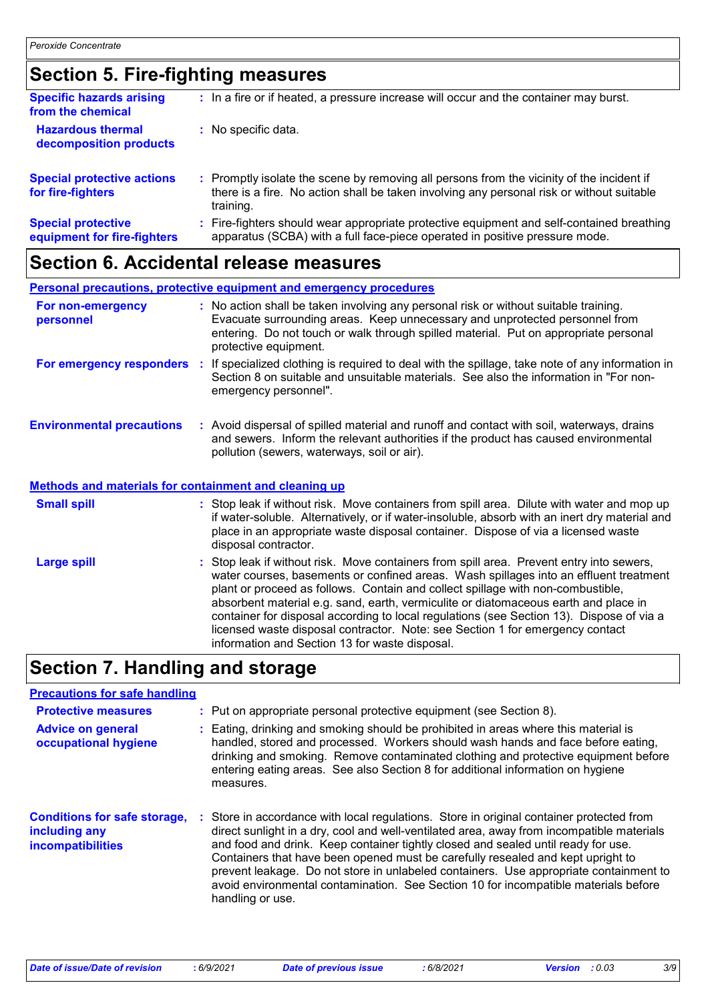# **Section 5. Fire-fighting measures**

| <b>Specific hazards arising</b><br>from the chemical     | : In a fire or if heated, a pressure increase will occur and the container may burst.                                                                                                               |
|----------------------------------------------------------|-----------------------------------------------------------------------------------------------------------------------------------------------------------------------------------------------------|
| <b>Hazardous thermal</b><br>decomposition products       | : No specific data.                                                                                                                                                                                 |
| <b>Special protective actions</b><br>for fire-fighters   | : Promptly isolate the scene by removing all persons from the vicinity of the incident if<br>there is a fire. No action shall be taken involving any personal risk or without suitable<br>training. |
| <b>Special protective</b><br>equipment for fire-fighters | : Fire-fighters should wear appropriate protective equipment and self-contained breathing<br>apparatus (SCBA) with a full face-piece operated in positive pressure mode.                            |

# **Section 6. Accidental release measures**

|                                                       | <b>Personal precautions, protective equipment and emergency procedures</b>                                                                                                                                                                                                           |
|-------------------------------------------------------|--------------------------------------------------------------------------------------------------------------------------------------------------------------------------------------------------------------------------------------------------------------------------------------|
| For non-emergency<br>personnel                        | : No action shall be taken involving any personal risk or without suitable training.<br>Evacuate surrounding areas. Keep unnecessary and unprotected personnel from<br>entering. Do not touch or walk through spilled material. Put on appropriate personal<br>protective equipment. |
| For emergency responders                              | : If specialized clothing is required to deal with the spillage, take note of any information in<br>Section 8 on suitable and unsuitable materials. See also the information in "For non-<br>emergency personnel".                                                                   |
| <b>Environmental precautions</b>                      | : Avoid dispersal of spilled material and runoff and contact with soil, waterways, drains<br>and sewers. Inform the relevant authorities if the product has caused environmental<br>pollution (sewers, waterways, soil or air).                                                      |
| Methods and materials for containment and cleaning up |                                                                                                                                                                                                                                                                                      |
| <b>Small spill</b>                                    | : Stop leak if without risk. Move containers from spill area. Dilute with water and mop up<br>if water-soluble. Alternatively, or if water-insoluble, absorb with an inert dry material and<br>place in an appropriate waste disposal container. Dispose of via a licensed waste     |

|                    | disposal contractor.                                                                                                                                                                                                                                                                                                                                                                                                                                                                                                                                                                       |
|--------------------|--------------------------------------------------------------------------------------------------------------------------------------------------------------------------------------------------------------------------------------------------------------------------------------------------------------------------------------------------------------------------------------------------------------------------------------------------------------------------------------------------------------------------------------------------------------------------------------------|
| <b>Large spill</b> | : Stop leak if without risk. Move containers from spill area. Prevent entry into sewers,<br>water courses, basements or confined areas. Wash spillages into an effluent treatment<br>plant or proceed as follows. Contain and collect spillage with non-combustible,<br>absorbent material e.g. sand, earth, vermiculite or diatomaceous earth and place in<br>container for disposal according to local regulations (see Section 13). Dispose of via a<br>licensed waste disposal contractor. Note: see Section 1 for emergency contact<br>information and Section 13 for waste disposal. |
|                    |                                                                                                                                                                                                                                                                                                                                                                                                                                                                                                                                                                                            |

# **Section 7. Handling and storage**

### **Precautions for safe handling**

| <b>Protective measures</b><br><b>Advice on general</b><br>occupational hygiene   | : Put on appropriate personal protective equipment (see Section 8).<br>: Eating, drinking and smoking should be prohibited in areas where this material is<br>handled, stored and processed. Workers should wash hands and face before eating,<br>drinking and smoking. Remove contaminated clothing and protective equipment before<br>entering eating areas. See also Section 8 for additional information on hygiene<br>measures.                                                                                                                              |
|----------------------------------------------------------------------------------|-------------------------------------------------------------------------------------------------------------------------------------------------------------------------------------------------------------------------------------------------------------------------------------------------------------------------------------------------------------------------------------------------------------------------------------------------------------------------------------------------------------------------------------------------------------------|
| <b>Conditions for safe storage,</b><br>including any<br><b>incompatibilities</b> | : Store in accordance with local regulations. Store in original container protected from<br>direct sunlight in a dry, cool and well-ventilated area, away from incompatible materials<br>and food and drink. Keep container tightly closed and sealed until ready for use.<br>Containers that have been opened must be carefully resealed and kept upright to<br>prevent leakage. Do not store in unlabeled containers. Use appropriate containment to<br>avoid environmental contamination. See Section 10 for incompatible materials before<br>handling or use. |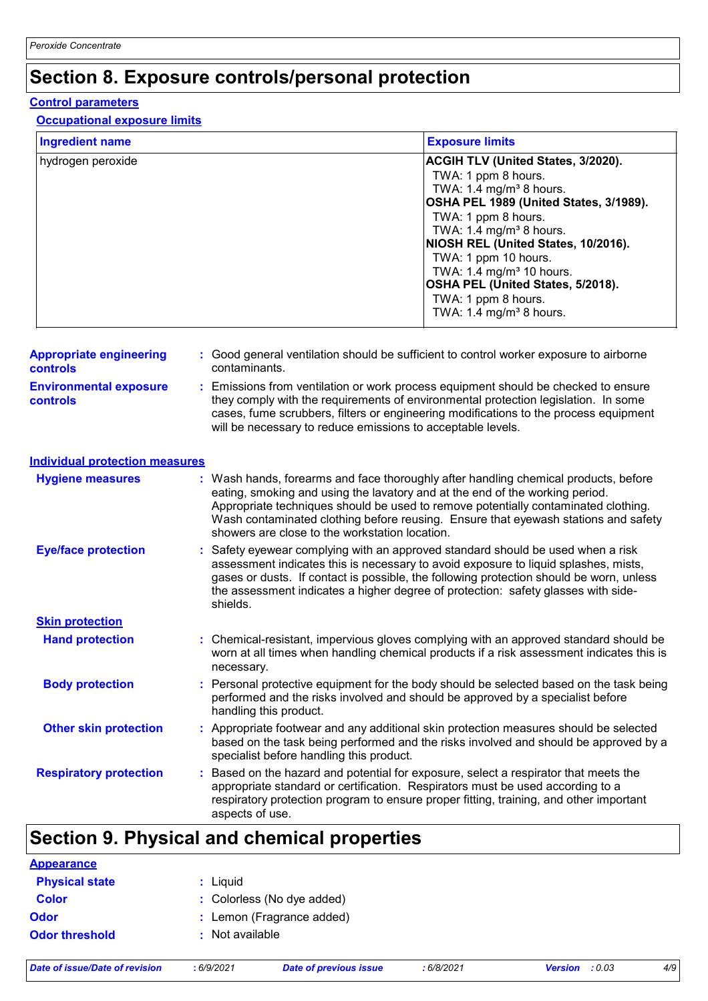# **Section 8. Exposure controls/personal protection**

#### **Control parameters**

#### **Occupational exposure limits**

| <b>Ingredient name</b>                            | <b>Exposure limits</b>                                                                                                                                                                                                                                                                                                                                                                                            |  |
|---------------------------------------------------|-------------------------------------------------------------------------------------------------------------------------------------------------------------------------------------------------------------------------------------------------------------------------------------------------------------------------------------------------------------------------------------------------------------------|--|
| hydrogen peroxide                                 | ACGIH TLV (United States, 3/2020).<br>TWA: 1 ppm 8 hours.<br>TWA: 1.4 mg/m <sup>3</sup> 8 hours.<br>OSHA PEL 1989 (United States, 3/1989).<br>TWA: 1 ppm 8 hours.<br>TWA: 1.4 mg/m <sup>3</sup> 8 hours.<br>NIOSH REL (United States, 10/2016).<br>TWA: 1 ppm 10 hours.<br>TWA: $1.4 \text{ mg/m}^3$ 10 hours.<br>OSHA PEL (United States, 5/2018).<br>TWA: 1 ppm 8 hours.<br>TWA: 1.4 mg/m <sup>3</sup> 8 hours. |  |
| <b>Appropriate engineering</b><br><b>controls</b> | : Good general ventilation should be sufficient to control worker exposure to airborne<br>contaminants.                                                                                                                                                                                                                                                                                                           |  |
| <b>Environmental exposure</b><br><b>controls</b>  | : Emissions from ventilation or work process equipment should be checked to ensure<br>they comply with the requirements of environmental protection legislation. In some<br>cases, fume scrubbers, filters or engineering modifications to the process equipment<br>will be necessary to reduce emissions to acceptable levels.                                                                                   |  |
| <b>Individual protection measures</b>             |                                                                                                                                                                                                                                                                                                                                                                                                                   |  |
| <b>Hygiene measures</b>                           | : Wash hands, forearms and face thoroughly after handling chemical products, before<br>eating, smoking and using the lavatory and at the end of the working period.<br>Appropriate techniques should be used to remove potentially contaminated clothing.<br>Wash contaminated clothing before reusing. Ensure that eyewash stations and safety<br>showers are close to the workstation location.                 |  |
| <b>Eye/face protection</b>                        | Safety eyewear complying with an approved standard should be used when a risk<br>assessment indicates this is necessary to avoid exposure to liquid splashes, mists,<br>gases or dusts. If contact is possible, the following protection should be worn, unless<br>the assessment indicates a higher degree of protection: safety glasses with side-<br>shields.                                                  |  |
| <b>Skin protection</b>                            |                                                                                                                                                                                                                                                                                                                                                                                                                   |  |
| <b>Hand protection</b>                            | : Chemical-resistant, impervious gloves complying with an approved standard should be<br>worn at all times when handling chemical products if a risk assessment indicates this is<br>necessary.                                                                                                                                                                                                                   |  |
| <b>Body protection</b>                            | : Personal protective equipment for the body should be selected based on the task being<br>performed and the risks involved and should be approved by a specialist before<br>handling this product.                                                                                                                                                                                                               |  |
| <b>Other skin protection</b>                      | : Appropriate footwear and any additional skin protection measures should be selected<br>based on the task being performed and the risks involved and should be approved by a<br>specialist before handling this product.                                                                                                                                                                                         |  |
| <b>Respiratory protection</b>                     | Based on the hazard and potential for exposure, select a respirator that meets the<br>appropriate standard or certification. Respirators must be used according to a<br>respiratory protection program to ensure proper fitting, training, and other important<br>aspects of use.                                                                                                                                 |  |

# **Section 9. Physical and chemical properties**

| <b>Appearance</b>     |                            |
|-----------------------|----------------------------|
| <b>Physical state</b> | : Liquid                   |
| <b>Color</b>          | : Colorless (No dye added) |
| <b>Odor</b>           | : Lemon (Fragrance added)  |
| <b>Odor threshold</b> | : Not available            |
|                       |                            |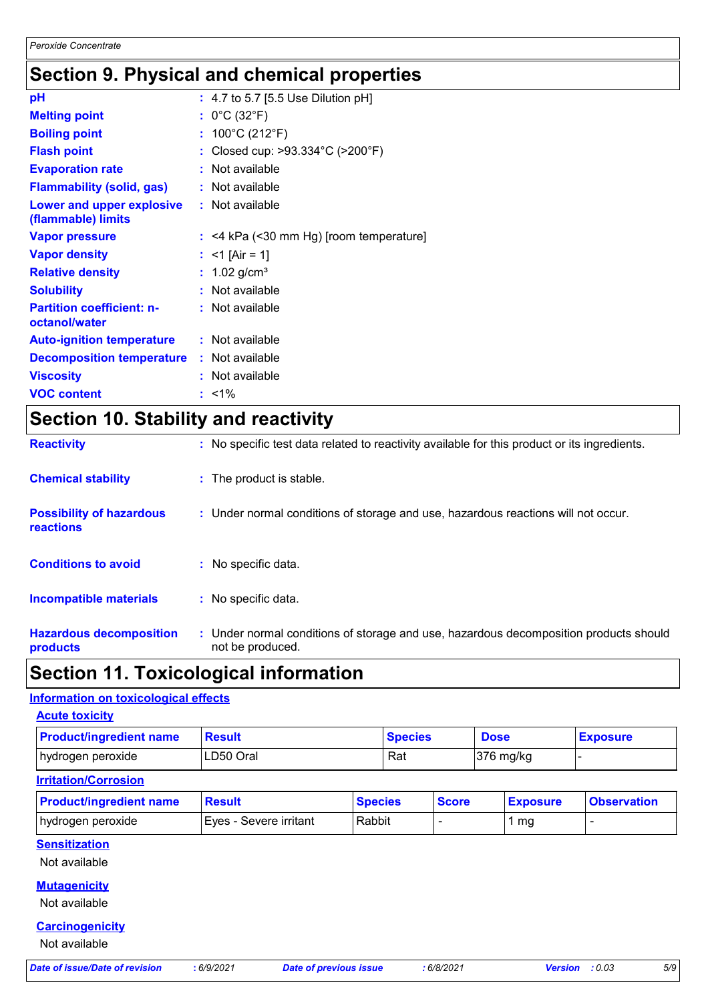# **Section 9. Physical and chemical properties**

| pH                                                |    | : 4.7 to 5.7 [5.5 Use Dilution pH]    |
|---------------------------------------------------|----|---------------------------------------|
| <b>Melting point</b>                              |    | : $0^{\circ}$ C (32 $^{\circ}$ F)     |
| <b>Boiling point</b>                              |    | : $100^{\circ}$ C (212 $^{\circ}$ F)  |
| <b>Flash point</b>                                |    | Closed cup: >93.334°C (>200°F)        |
| <b>Evaporation rate</b>                           |    | Not available                         |
| <b>Flammability (solid, gas)</b>                  |    | Not available                         |
| Lower and upper explosive<br>(flammable) limits   |    | : Not available                       |
| <b>Vapor pressure</b>                             | ÷. | <4 kPa (<30 mm Hg) [room temperature] |
| <b>Vapor density</b>                              |    | $<$ 1 [Air = 1]                       |
| <b>Relative density</b>                           |    | 1.02 $g/cm^{3}$                       |
| <b>Solubility</b>                                 |    | Not available                         |
| <b>Partition coefficient: n-</b><br>octanol/water |    | : Not available                       |
| <b>Auto-ignition temperature</b>                  |    | : Not available                       |
| <b>Decomposition temperature</b>                  |    | : Not available                       |
| <b>Viscosity</b>                                  |    | Not available                         |
| <b>VOC content</b>                                |    | $: 1\%$                               |

# **Section 10. Stability and reactivity**

| <b>Hazardous decomposition</b><br>products          | : Under normal conditions of storage and use, hazardous decomposition products should<br>not be produced. |
|-----------------------------------------------------|-----------------------------------------------------------------------------------------------------------|
| Incompatible materials                              | : No specific data.                                                                                       |
| <b>Conditions to avoid</b>                          | : No specific data.                                                                                       |
| <b>Possibility of hazardous</b><br><b>reactions</b> | : Under normal conditions of storage and use, hazardous reactions will not occur.                         |
| <b>Chemical stability</b>                           | : The product is stable.                                                                                  |
| <b>Reactivity</b>                                   | : No specific test data related to reactivity available for this product or its ingredients.              |

# **Section 11. Toxicological information**

### **Information on toxicological effects**

| <b>Acute toxicity</b>          |                        |                               |                |                 |                                 |
|--------------------------------|------------------------|-------------------------------|----------------|-----------------|---------------------------------|
| <b>Product/ingredient name</b> | <b>Result</b>          |                               | <b>Species</b> | <b>Dose</b>     | <b>Exposure</b>                 |
| hydrogen peroxide              | LD50 Oral              |                               | Rat            | 376 mg/kg       |                                 |
| <b>Irritation/Corrosion</b>    |                        |                               |                |                 |                                 |
| <b>Product/ingredient name</b> | <b>Result</b>          | <b>Species</b>                | <b>Score</b>   | <b>Exposure</b> | <b>Observation</b>              |
| hydrogen peroxide              | Eyes - Severe irritant | Rabbit                        |                | 1 <sub>mg</sub> | $\blacksquare$                  |
| <b>Sensitization</b>           |                        |                               |                |                 |                                 |
| Not available                  |                        |                               |                |                 |                                 |
| <b>Mutagenicity</b>            |                        |                               |                |                 |                                 |
| Not available                  |                        |                               |                |                 |                                 |
| <b>Carcinogenicity</b>         |                        |                               |                |                 |                                 |
| Not available                  |                        |                               |                |                 |                                 |
| Date of issue/Date of revision | : 6/9/2021             | <b>Date of previous issue</b> | :6/8/2021      |                 | 5/9<br>: 0.03<br><b>Version</b> |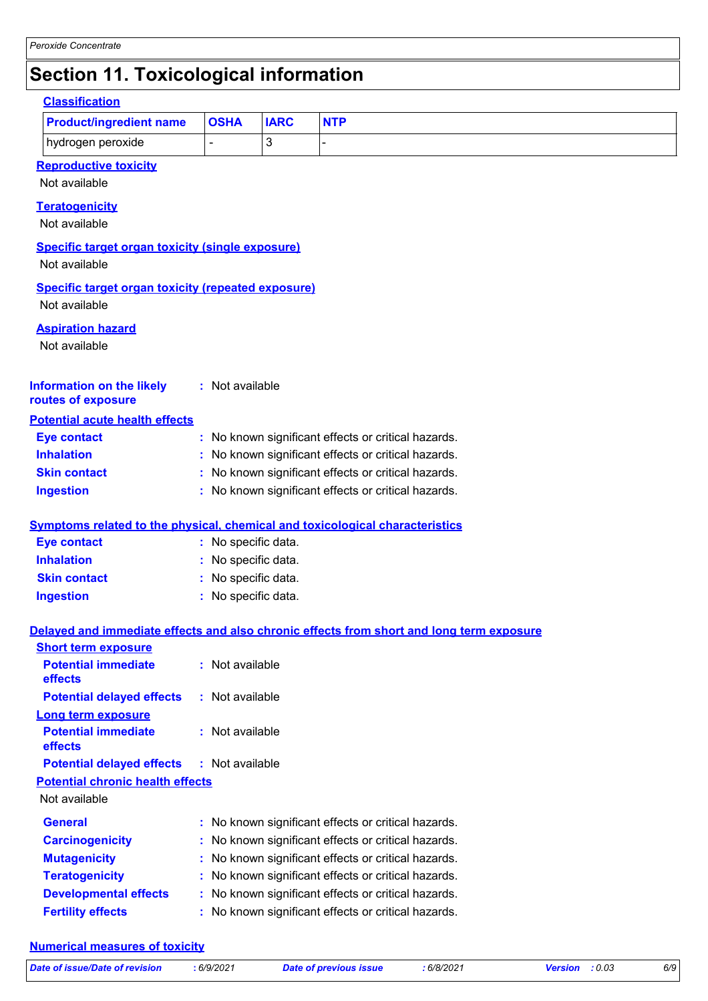# **Section 11. Toxicological information**

| <b>Classification</b>                                                               |                     |                |                                                                                          |
|-------------------------------------------------------------------------------------|---------------------|----------------|------------------------------------------------------------------------------------------|
| <b>Product/ingredient name</b>                                                      | <b>OSHA</b>         | <b>IARC</b>    | <b>NTP</b>                                                                               |
| hydrogen peroxide                                                                   | ä,                  | $\mathfrak{B}$ |                                                                                          |
| <b>Reproductive toxicity</b><br>Not available                                       |                     |                |                                                                                          |
| <b>Teratogenicity</b><br>Not available                                              |                     |                |                                                                                          |
| <b>Specific target organ toxicity (single exposure)</b><br>Not available            |                     |                |                                                                                          |
| <b>Specific target organ toxicity (repeated exposure)</b><br>Not available          |                     |                |                                                                                          |
| <b>Aspiration hazard</b><br>Not available                                           |                     |                |                                                                                          |
| <b>Information on the likely</b><br>routes of exposure                              | : Not available     |                |                                                                                          |
| <b>Potential acute health effects</b>                                               |                     |                |                                                                                          |
| <b>Eye contact</b>                                                                  |                     |                | : No known significant effects or critical hazards.                                      |
| <b>Inhalation</b>                                                                   |                     |                | : No known significant effects or critical hazards.                                      |
| <b>Skin contact</b>                                                                 |                     |                | : No known significant effects or critical hazards.                                      |
| <b>Ingestion</b>                                                                    |                     |                | : No known significant effects or critical hazards.                                      |
| <b>Symptoms related to the physical, chemical and toxicological characteristics</b> |                     |                |                                                                                          |
| <b>Eye contact</b>                                                                  | : No specific data. |                |                                                                                          |
| <b>Inhalation</b>                                                                   | No specific data.   |                |                                                                                          |
| <b>Skin contact</b>                                                                 | No specific data.   |                |                                                                                          |
| <b>Ingestion</b>                                                                    | : No specific data. |                |                                                                                          |
|                                                                                     |                     |                | Delayed and immediate effects and also chronic effects from short and long term exposure |
| <b>Short term exposure</b>                                                          |                     |                |                                                                                          |
| <b>Potential immediate</b><br>effects                                               | : Not available     |                |                                                                                          |
| <b>Potential delayed effects</b>                                                    | : Not available     |                |                                                                                          |
| <b>Long term exposure</b><br><b>Potential immediate</b><br>effects                  | : Not available     |                |                                                                                          |
| <b>Potential delayed effects</b>                                                    | : Not available     |                |                                                                                          |
| <b>Potential chronic health effects</b><br>Not available                            |                     |                |                                                                                          |
| <b>General</b>                                                                      |                     |                | : No known significant effects or critical hazards.                                      |
| <b>Carcinogenicity</b>                                                              |                     |                | : No known significant effects or critical hazards.                                      |
| <b>Mutagenicity</b>                                                                 |                     |                | : No known significant effects or critical hazards.                                      |
| <b>Teratogenicity</b>                                                               |                     |                | : No known significant effects or critical hazards.                                      |
| <b>Developmental effects</b>                                                        |                     |                | : No known significant effects or critical hazards.                                      |
| <b>Fertility effects</b>                                                            |                     |                | : No known significant effects or critical hazards.                                      |
|                                                                                     |                     |                |                                                                                          |

#### **Numerical measures of toxicity**

| Date of issue/Date of revision | :6/9/2021 |
|--------------------------------|-----------|
|                                |           |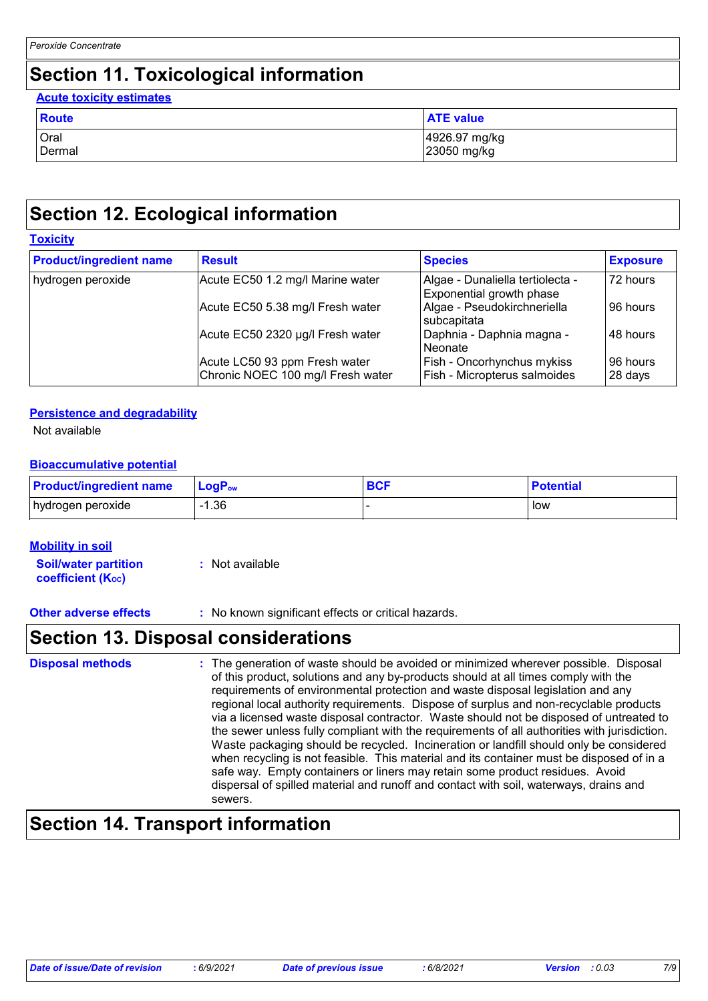# **Section 11. Toxicological information**

### Oral 1926.97 mg/kg<br>Dermal 1926.97 mg/kg<br>23050 mg/kg 23050 mg/kg **Route ATE** value **Acute toxicity estimates**

# **Section 12. Ecological information**

### **Toxicity**

| <b>Product/ingredient name</b>                        | <b>Result</b>                                                      | <b>Species</b>                                               | <b>Exposure</b>     |
|-------------------------------------------------------|--------------------------------------------------------------------|--------------------------------------------------------------|---------------------|
| Acute EC50 1.2 mg/l Marine water<br>hydrogen peroxide |                                                                    | Algae - Dunaliella tertiolecta -<br>Exponential growth phase | 72 hours            |
|                                                       | Acute EC50 5.38 mg/l Fresh water                                   | Algae - Pseudokirchneriella<br>subcapitata                   | 96 hours            |
|                                                       | Acute EC50 2320 µg/l Fresh water                                   | Daphnia - Daphnia magna -<br>Neonate                         | 48 hours            |
|                                                       | Acute LC50 93 ppm Fresh water<br>Chronic NOEC 100 mg/l Fresh water | Fish - Oncorhynchus mykiss<br>Fish - Micropterus salmoides   | 96 hours<br>28 days |

#### **Persistence and degradability**

Not available

### **Bioaccumulative potential**

| <b>Product/ingredient name</b> | $\mathsf{LogP}_\mathsf{ow}$ | <b>BCF</b> | <b>Potential</b> |
|--------------------------------|-----------------------------|------------|------------------|
| hydrogen peroxide              | .36                         |            | low              |

#### **Mobility in soil**

**Soil/water partition coefficient (Koc) :** Not available

**Other adverse effects** : No known significant effects or critical hazards.

## **Section 13. Disposal considerations**

| <b>Disposal methods</b> | : The generation of waste should be avoided or minimized wherever possible. Disposal<br>of this product, solutions and any by-products should at all times comply with the<br>requirements of environmental protection and waste disposal legislation and any<br>regional local authority requirements. Dispose of surplus and non-recyclable products<br>via a licensed waste disposal contractor. Waste should not be disposed of untreated to<br>the sewer unless fully compliant with the requirements of all authorities with jurisdiction.<br>Waste packaging should be recycled. Incineration or landfill should only be considered<br>when recycling is not feasible. This material and its container must be disposed of in a<br>safe way. Empty containers or liners may retain some product residues. Avoid<br>dispersal of spilled material and runoff and contact with soil, waterways, drains and<br>sewers. |
|-------------------------|----------------------------------------------------------------------------------------------------------------------------------------------------------------------------------------------------------------------------------------------------------------------------------------------------------------------------------------------------------------------------------------------------------------------------------------------------------------------------------------------------------------------------------------------------------------------------------------------------------------------------------------------------------------------------------------------------------------------------------------------------------------------------------------------------------------------------------------------------------------------------------------------------------------------------|
|-------------------------|----------------------------------------------------------------------------------------------------------------------------------------------------------------------------------------------------------------------------------------------------------------------------------------------------------------------------------------------------------------------------------------------------------------------------------------------------------------------------------------------------------------------------------------------------------------------------------------------------------------------------------------------------------------------------------------------------------------------------------------------------------------------------------------------------------------------------------------------------------------------------------------------------------------------------|

# **Section 14. Transport information**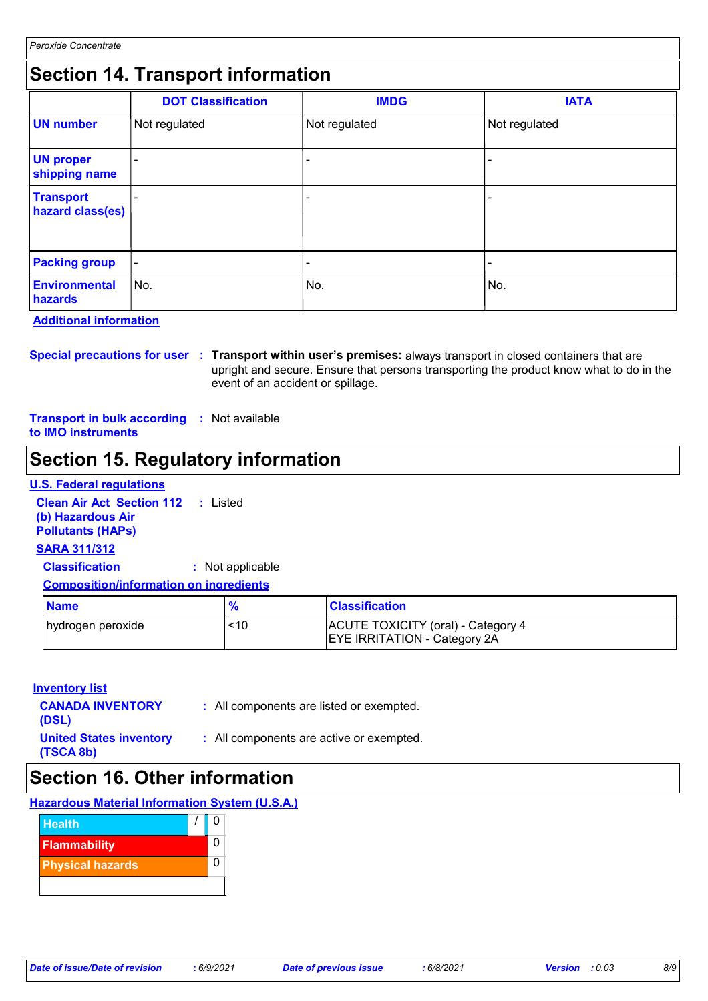# **Section 14. Transport information**

|                                      | <b>DOT Classification</b> | <b>IMDG</b>   | <b>IATA</b>              |
|--------------------------------------|---------------------------|---------------|--------------------------|
| <b>UN number</b>                     | Not regulated             | Not regulated | Not regulated            |
| <b>UN proper</b><br>shipping name    |                           | -             |                          |
| <b>Transport</b><br>hazard class(es) |                           | -             |                          |
| <b>Packing group</b>                 | $\blacksquare$            | -             | $\overline{\phantom{a}}$ |
| <b>Environmental</b><br>hazards      | No.                       | No.           | No.                      |

#### **Additional information**

**Special precautions for user Transport within user's premises:** always transport in closed containers that are **:** upright and secure. Ensure that persons transporting the product know what to do in the event of an accident or spillage.

**Transport in bulk according :** Not available **to IMO instruments**

# **Section 15. Regulatory information**

#### **U.S. Federal regulations**

**Clean Air Act Section 112 :** Listed **(b) Hazardous Air Pollutants (HAPs)**

#### **SARA 311/312**

**Classification :** Not applicable

#### **Composition/information on ingredients**

| <b>Name</b>        |     | <b>Classification</b>                                                     |
|--------------------|-----|---------------------------------------------------------------------------|
| ∣hydrogen peroxide | <10 | ACUTE TOXICITY (oral) - Category 4<br><b>EYE IRRITATION - Category 2A</b> |

#### **Inventory list**

| <b>CANADA INVENTORY</b><br>(DSL)            | : All components are listed or exempted. |
|---------------------------------------------|------------------------------------------|
| <b>United States inventory</b><br>(TSCA 8b) | : All components are active or exempted. |

## **Section 16. Other information**

### **Hazardous Material Information System (U.S.A.)**